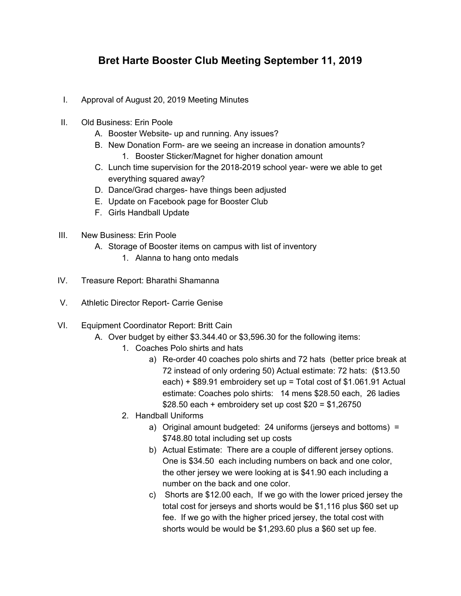## **Bret Harte Booster Club Meeting September 11, 2019**

- I. Approval of August 20, 2019 Meeting Minutes
- II. Old Business: Erin Poole
	- A. Booster Website- up and running. Any issues?
	- B. New Donation Form- are we seeing an increase in donation amounts?
		- 1. Booster Sticker/Magnet for higher donation amount
	- C. Lunch time supervision for the 2018-2019 school year- were we able to get everything squared away?
	- D. Dance/Grad charges- have things been adjusted
	- E. Update on Facebook page for Booster Club
	- F. Girls Handball Update
- III. New Business: Erin Poole
	- A. Storage of Booster items on campus with list of inventory
		- 1. Alanna to hang onto medals
- IV. Treasure Report: Bharathi Shamanna
- V. Athletic Director Report- Carrie Genise
- VI. Equipment Coordinator Report: Britt Cain
	- A. Over budget by either \$3.344.40 or \$3,596.30 for the following items:
		- 1. Coaches Polo shirts and hats
			- a) Re-order 40 coaches polo shirts and 72 hats (better price break at 72 instead of only ordering 50) Actual estimate: 72 hats: (\$13.50 each) + \$89.91 embroidery set up = Total cost of \$1.061.91 Actual estimate: Coaches polo shirts: 14 mens \$28.50 each, 26 ladies \$28.50 each + embroidery set up cost \$20 = \$1,26750
		- 2. Handball Uniforms
			- a) Original amount budgeted: 24 uniforms (jerseys and bottoms) = \$748.80 total including set up costs
			- b) Actual Estimate: There are a couple of different jersey options. One is \$34.50 each including numbers on back and one color, the other jersey we were looking at is \$41.90 each including a number on the back and one color.
			- c) Shorts are \$12.00 each, If we go with the lower priced jersey the total cost for jerseys and shorts would be \$1,116 plus \$60 set up fee. If we go with the higher priced jersey, the total cost with shorts would be would be \$1,293.60 plus a \$60 set up fee.